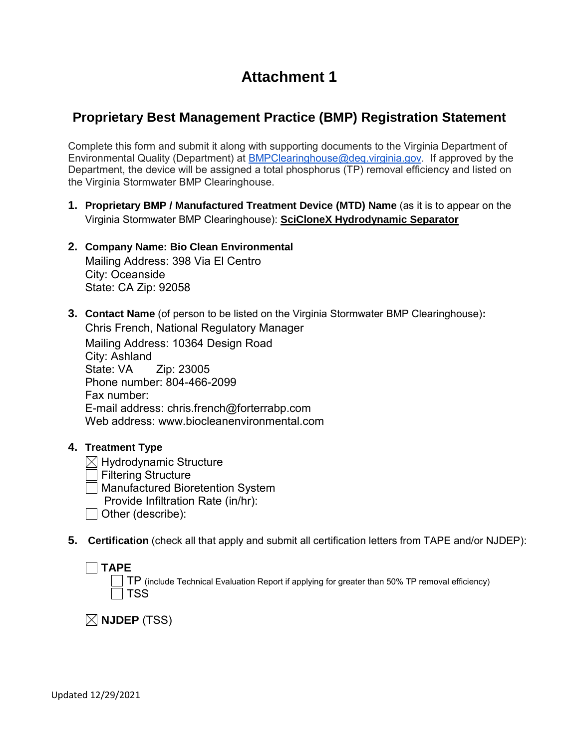# **Attachment 1**

# **Proprietary Best Management Practice (BMP) Registration Statement**

Complete this form and submit it along with supporting documents to the Virginia Department of Environmental Quality (Department) at [BMPClearinghouse@deq.virginia.gov.](mailto:BMPClearinghouse@deq.virginia.gov) If approved by the Department, the device will be assigned a total phosphorus (TP) removal efficiency and listed on the Virginia Stormwater BMP Clearinghouse.

- **1. Proprietary BMP / Manufactured Treatment Device (MTD) Name** (as it is to appear on the Virginia Stormwater BMP Clearinghouse): **SciCloneX Hydrodynamic Separator**
- **2. Company Name: Bio Clean Environmental** Mailing Address: 398 Via El Centro City: Oceanside State: CA Zip: 92058
- **3. Contact Name** (of person to be listed on the Virginia Stormwater BMP Clearinghouse)**:**  Chris French, National Regulatory Manager Mailing Address: 10364 Design Road City: Ashland State: VA Zip: 23005 Phone number: 804-466-2099 Fax number: E-mail address: chris.french@forterrabp.com Web address: www.biocleanenvironmental.com
- **4. Treatment Type**
	- $\boxtimes$  Hydrodynamic Structure
	- Filtering Structure
	- Manufactured Bioretention System
		- Provide Infiltration Rate (in/hr):
	- Other (describe):
- **5. Certification** (check all that apply and submit all certification letters from TAPE and/or NJDEP):

### **TAPE**   $\Box$   $\sf{TP}$  (include Technical Evaluation Report if applying for greater than 50% TP removal efficiency)  $\sqcap$  TSS

 $\boxtimes$  NJDEP (TSS)